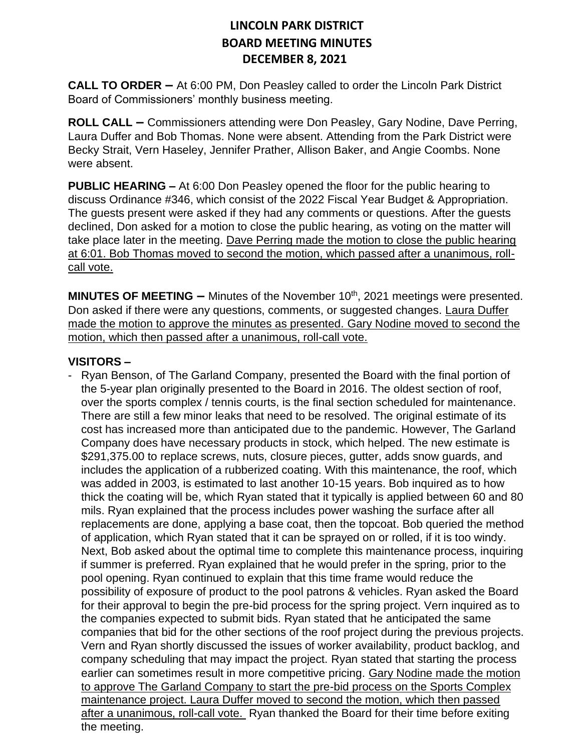**CALL TO ORDER –** At 6:00 PM, Don Peasley called to order the Lincoln Park District Board of Commissioners' monthly business meeting.

**ROLL CALL –** Commissioners attending were Don Peasley, Gary Nodine, Dave Perring, Laura Duffer and Bob Thomas. None were absent. Attending from the Park District were Becky Strait, Vern Haseley, Jennifer Prather, Allison Baker, and Angie Coombs. None were absent.

**PUBLIC HEARING –** At 6:00 Don Peasley opened the floor for the public hearing to discuss Ordinance #346, which consist of the 2022 Fiscal Year Budget & Appropriation. The guests present were asked if they had any comments or questions. After the guests declined, Don asked for a motion to close the public hearing, as voting on the matter will take place later in the meeting. Dave Perring made the motion to close the public hearing at 6:01. Bob Thomas moved to second the motion, which passed after a unanimous, rollcall vote.

**MINUTES OF MEETING - Minutes of the November 10<sup>th</sup>, 2021 meetings were presented.** Don asked if there were any questions, comments, or suggested changes. Laura Duffer made the motion to approve the minutes as presented. Gary Nodine moved to second the motion, which then passed after a unanimous, roll-call vote.

#### **VISITORS –**

- Ryan Benson, of The Garland Company, presented the Board with the final portion of the 5-year plan originally presented to the Board in 2016. The oldest section of roof, over the sports complex / tennis courts, is the final section scheduled for maintenance. There are still a few minor leaks that need to be resolved. The original estimate of its cost has increased more than anticipated due to the pandemic. However, The Garland Company does have necessary products in stock, which helped. The new estimate is \$291,375.00 to replace screws, nuts, closure pieces, gutter, adds snow guards, and includes the application of a rubberized coating. With this maintenance, the roof, which was added in 2003, is estimated to last another 10-15 years. Bob inquired as to how thick the coating will be, which Ryan stated that it typically is applied between 60 and 80 mils. Ryan explained that the process includes power washing the surface after all replacements are done, applying a base coat, then the topcoat. Bob queried the method of application, which Ryan stated that it can be sprayed on or rolled, if it is too windy. Next, Bob asked about the optimal time to complete this maintenance process, inquiring if summer is preferred. Ryan explained that he would prefer in the spring, prior to the pool opening. Ryan continued to explain that this time frame would reduce the possibility of exposure of product to the pool patrons & vehicles. Ryan asked the Board for their approval to begin the pre-bid process for the spring project. Vern inquired as to the companies expected to submit bids. Ryan stated that he anticipated the same companies that bid for the other sections of the roof project during the previous projects. Vern and Ryan shortly discussed the issues of worker availability, product backlog, and company scheduling that may impact the project. Ryan stated that starting the process earlier can sometimes result in more competitive pricing. Gary Nodine made the motion to approve The Garland Company to start the pre-bid process on the Sports Complex maintenance project. Laura Duffer moved to second the motion, which then passed after a unanimous, roll-call vote. Ryan thanked the Board for their time before exiting the meeting.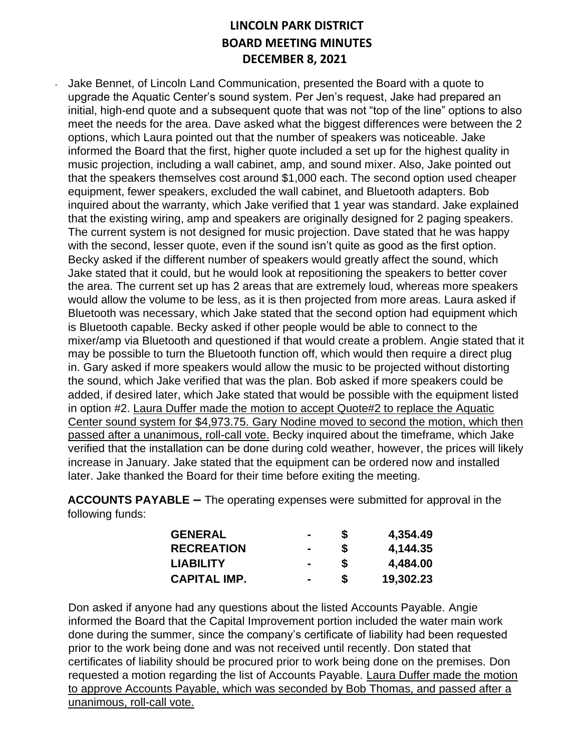Jake Bennet, of Lincoln Land Communication, presented the Board with a quote to upgrade the Aquatic Center's sound system. Per Jen's request, Jake had prepared an initial, high-end quote and a subsequent quote that was not "top of the line" options to also meet the needs for the area. Dave asked what the biggest differences were between the 2 options, which Laura pointed out that the number of speakers was noticeable. Jake informed the Board that the first, higher quote included a set up for the highest quality in music projection, including a wall cabinet, amp, and sound mixer. Also, Jake pointed out that the speakers themselves cost around \$1,000 each. The second option used cheaper equipment, fewer speakers, excluded the wall cabinet, and Bluetooth adapters. Bob inquired about the warranty, which Jake verified that 1 year was standard. Jake explained that the existing wiring, amp and speakers are originally designed for 2 paging speakers. The current system is not designed for music projection. Dave stated that he was happy with the second, lesser quote, even if the sound isn't quite as good as the first option. Becky asked if the different number of speakers would greatly affect the sound, which Jake stated that it could, but he would look at repositioning the speakers to better cover the area. The current set up has 2 areas that are extremely loud, whereas more speakers would allow the volume to be less, as it is then projected from more areas. Laura asked if Bluetooth was necessary, which Jake stated that the second option had equipment which is Bluetooth capable. Becky asked if other people would be able to connect to the mixer/amp via Bluetooth and questioned if that would create a problem. Angie stated that it may be possible to turn the Bluetooth function off, which would then require a direct plug in. Gary asked if more speakers would allow the music to be projected without distorting the sound, which Jake verified that was the plan. Bob asked if more speakers could be added, if desired later, which Jake stated that would be possible with the equipment listed in option #2. Laura Duffer made the motion to accept Quote#2 to replace the Aquatic Center sound system for \$4,973.75. Gary Nodine moved to second the motion, which then passed after a unanimous, roll-call vote. Becky inquired about the timeframe, which Jake verified that the installation can be done during cold weather, however, the prices will likely increase in January. Jake stated that the equipment can be ordered now and installed later. Jake thanked the Board for their time before exiting the meeting.

**ACCOUNTS PAYABLE –** The operating expenses were submitted for approval in the following funds:

| <b>GENERAL</b>      | $\sim$         | S | 4,354.49  |
|---------------------|----------------|---|-----------|
| <b>RECREATION</b>   | $\blacksquare$ | S | 4,144.35  |
| <b>LIABILITY</b>    | $\blacksquare$ | S | 4,484.00  |
| <b>CAPITAL IMP.</b> | $\blacksquare$ | S | 19,302.23 |

Don asked if anyone had any questions about the listed Accounts Payable. Angie informed the Board that the Capital Improvement portion included the water main work done during the summer, since the company's certificate of liability had been requested prior to the work being done and was not received until recently. Don stated that certificates of liability should be procured prior to work being done on the premises. Don requested a motion regarding the list of Accounts Payable. Laura Duffer made the motion to approve Accounts Payable, which was seconded by Bob Thomas, and passed after a unanimous, roll-call vote.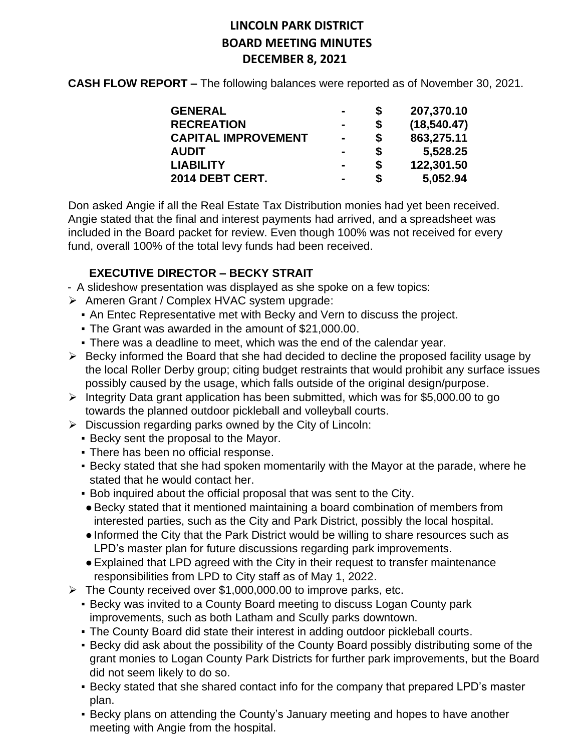**CASH FLOW REPORT –** The following balances were reported as of November 30, 2021.

| <b>GENERAL</b>             |                | S  | 207,370.10   |
|----------------------------|----------------|----|--------------|
| <b>RECREATION</b>          |                | S  | (18, 540.47) |
| <b>CAPITAL IMPROVEMENT</b> | $\blacksquare$ | \$ | 863,275.11   |
| <b>AUDIT</b>               |                | \$ | 5,528.25     |
| <b>LIABILITY</b>           |                | S  | 122,301.50   |
| 2014 DEBT CERT.            | -              | S  | 5,052.94     |

Don asked Angie if all the Real Estate Tax Distribution monies had yet been received. Angie stated that the final and interest payments had arrived, and a spreadsheet was included in the Board packet for review. Even though 100% was not received for every fund, overall 100% of the total levy funds had been received.

### **EXECUTIVE DIRECTOR – BECKY STRAIT**

- A slideshow presentation was displayed as she spoke on a few topics:
- ➢ Ameren Grant / Complex HVAC system upgrade:
	- An Entec Representative met with Becky and Vern to discuss the project.
	- The Grant was awarded in the amount of \$21,000.00.
	- There was a deadline to meet, which was the end of the calendar year.
- ➢ Becky informed the Board that she had decided to decline the proposed facility usage by the local Roller Derby group; citing budget restraints that would prohibit any surface issues possibly caused by the usage, which falls outside of the original design/purpose.
- ➢ Integrity Data grant application has been submitted, which was for \$5,000.00 to go towards the planned outdoor pickleball and volleyball courts.
- $\triangleright$  Discussion regarding parks owned by the City of Lincoln:
	- Becky sent the proposal to the Mayor.
	- **There has been no official response.**
	- Becky stated that she had spoken momentarily with the Mayor at the parade, where he stated that he would contact her.
	- Bob inquired about the official proposal that was sent to the City.
	- ●Becky stated that it mentioned maintaining a board combination of members from interested parties, such as the City and Park District, possibly the local hospital.
	- ●Informed the City that the Park District would be willing to share resources such as LPD's master plan for future discussions regarding park improvements.
	- ●Explained that LPD agreed with the City in their request to transfer maintenance responsibilities from LPD to City staff as of May 1, 2022.
- $\triangleright$  The County received over \$1,000,000.00 to improve parks, etc.
	- Becky was invited to a County Board meeting to discuss Logan County park improvements, such as both Latham and Scully parks downtown.
	- The County Board did state their interest in adding outdoor pickleball courts.
	- Becky did ask about the possibility of the County Board possibly distributing some of the grant monies to Logan County Park Districts for further park improvements, but the Board did not seem likely to do so.
	- Becky stated that she shared contact info for the company that prepared LPD's master plan.
	- **E** Becky plans on attending the County's January meeting and hopes to have another meeting with Angie from the hospital.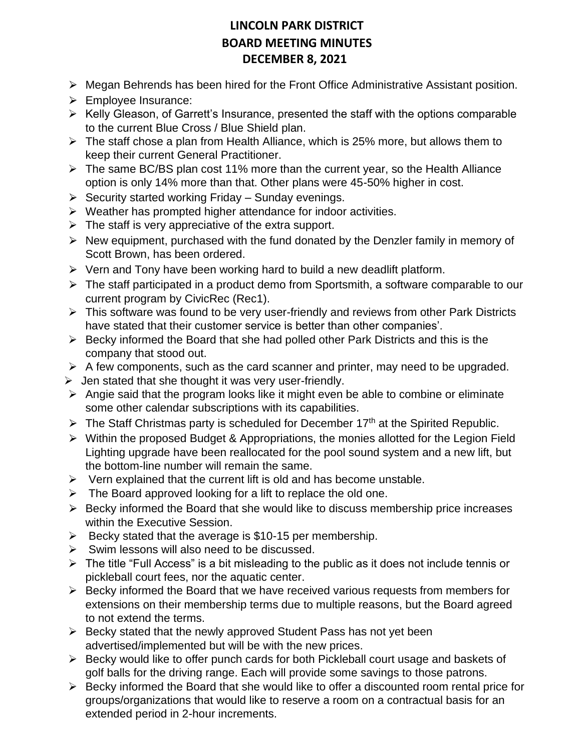- $\triangleright$  Megan Behrends has been hired for the Front Office Administrative Assistant position.
- ⮚ Employee Insurance:
- ➢ Kelly Gleason, of Garrett's Insurance, presented the staff with the options comparable to the current Blue Cross / Blue Shield plan.
- ➢ The staff chose a plan from Health Alliance, which is 25% more, but allows them to keep their current General Practitioner.
- ➢ The same BC/BS plan cost 11% more than the current year, so the Health Alliance option is only 14% more than that. Other plans were 45-50% higher in cost.
- $\triangleright$  Security started working Friday Sunday evenings.
- ➢ Weather has prompted higher attendance for indoor activities.
- $\triangleright$  The staff is very appreciative of the extra support.
- $\triangleright$  New equipment, purchased with the fund donated by the Denzler family in memory of Scott Brown, has been ordered.
- $\triangleright$  Vern and Tony have been working hard to build a new deadlift platform.
- $\triangleright$  The staff participated in a product demo from Sportsmith, a software comparable to our current program by CivicRec (Rec1).
- ➢ This software was found to be very user-friendly and reviews from other Park Districts have stated that their customer service is better than other companies'.
- ➢ Becky informed the Board that she had polled other Park Districts and this is the company that stood out.
- $\triangleright$  A few components, such as the card scanner and printer, may need to be upgraded.
- $\triangleright$  Jen stated that she thought it was very user-friendly.
- $\triangleright$  Angie said that the program looks like it might even be able to combine or eliminate some other calendar subscriptions with its capabilities.
- $\triangleright$  The Staff Christmas party is scheduled for December 17<sup>th</sup> at the Spirited Republic.
- $\triangleright$  Within the proposed Budget & Appropriations, the monies allotted for the Legion Field Lighting upgrade have been reallocated for the pool sound system and a new lift, but the bottom-line number will remain the same.
- $\triangleright$  Vern explained that the current lift is old and has become unstable.
- ➢ The Board approved looking for a lift to replace the old one.
- $\triangleright$  Becky informed the Board that she would like to discuss membership price increases within the Executive Session.
- $\triangleright$  Becky stated that the average is \$10-15 per membership.
- $\triangleright$  Swim lessons will also need to be discussed.
- ➢ The title "Full Access" is a bit misleading to the public as it does not include tennis or pickleball court fees, nor the aquatic center.
- ➢ Becky informed the Board that we have received various requests from members for extensions on their membership terms due to multiple reasons, but the Board agreed to not extend the terms.
- ➢ Becky stated that the newly approved Student Pass has not yet been advertised/implemented but will be with the new prices.
- ➢ Becky would like to offer punch cards for both Pickleball court usage and baskets of golf balls for the driving range. Each will provide some savings to those patrons.
- ➢ Becky informed the Board that she would like to offer a discounted room rental price for groups/organizations that would like to reserve a room on a contractual basis for an extended period in 2-hour increments.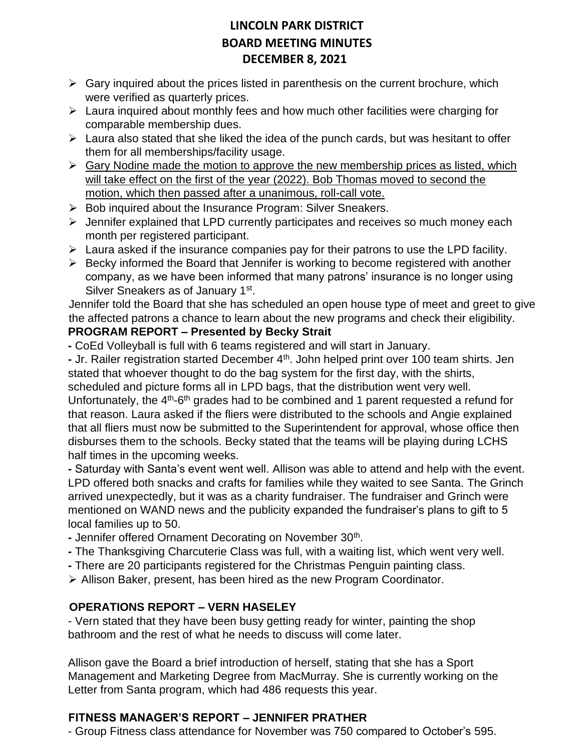- $\triangleright$  Gary inquired about the prices listed in parenthesis on the current brochure, which were verified as quarterly prices.
- ➢ Laura inquired about monthly fees and how much other facilities were charging for comparable membership dues.
- $\triangleright$  Laura also stated that she liked the idea of the punch cards, but was hesitant to offer them for all memberships/facility usage.
- $\triangleright$  Gary Nodine made the motion to approve the new membership prices as listed, which will take effect on the first of the year (2022). Bob Thomas moved to second the motion, which then passed after a unanimous, roll-call vote.
- $\triangleright$  Bob inquired about the Insurance Program: Silver Sneakers.
- ➢ Jennifer explained that LPD currently participates and receives so much money each month per registered participant.
- $\triangleright$  Laura asked if the insurance companies pay for their patrons to use the LPD facility.
- ➢ Becky informed the Board that Jennifer is working to become registered with another company, as we have been informed that many patrons' insurance is no longer using Silver Sneakers as of January 1<sup>st</sup>.

Jennifer told the Board that she has scheduled an open house type of meet and greet to give the affected patrons a chance to learn about the new programs and check their eligibility. **PROGRAM REPORT – Presented by Becky Strait**

**-** CoEd Volleyball is full with 6 teams registered and will start in January.

- Jr. Railer registration started December 4<sup>th</sup>. John helped print over 100 team shirts. Jen stated that whoever thought to do the bag system for the first day, with the shirts, scheduled and picture forms all in LPD bags, that the distribution went very well. Unfortunately, the 4<sup>th</sup>-6<sup>th</sup> grades had to be combined and 1 parent requested a refund for that reason. Laura asked if the fliers were distributed to the schools and Angie explained that all fliers must now be submitted to the Superintendent for approval, whose office then disburses them to the schools. Becky stated that the teams will be playing during LCHS half times in the upcoming weeks.

**-** Saturday with Santa's event went well. Allison was able to attend and help with the event. LPD offered both snacks and crafts for families while they waited to see Santa. The Grinch arrived unexpectedly, but it was as a charity fundraiser. The fundraiser and Grinch were mentioned on WAND news and the publicity expanded the fundraiser's plans to gift to 5 local families up to 50.

- Jennifer offered Ornament Decorating on November 30<sup>th</sup>.
- **-** The Thanksgiving Charcuterie Class was full, with a waiting list, which went very well.
- **-** There are 20 participants registered for the Christmas Penguin painting class.
- ➢ Allison Baker, present, has been hired as the new Program Coordinator.

### **OPERATIONS REPORT – VERN HASELEY**

- Vern stated that they have been busy getting ready for winter, painting the shop bathroom and the rest of what he needs to discuss will come later.

Allison gave the Board a brief introduction of herself, stating that she has a Sport Management and Marketing Degree from MacMurray. She is currently working on the Letter from Santa program, which had 486 requests this year.

### **FITNESS MANAGER'S REPORT – JENNIFER PRATHER**

- Group Fitness class attendance for November was 750 compared to October's 595.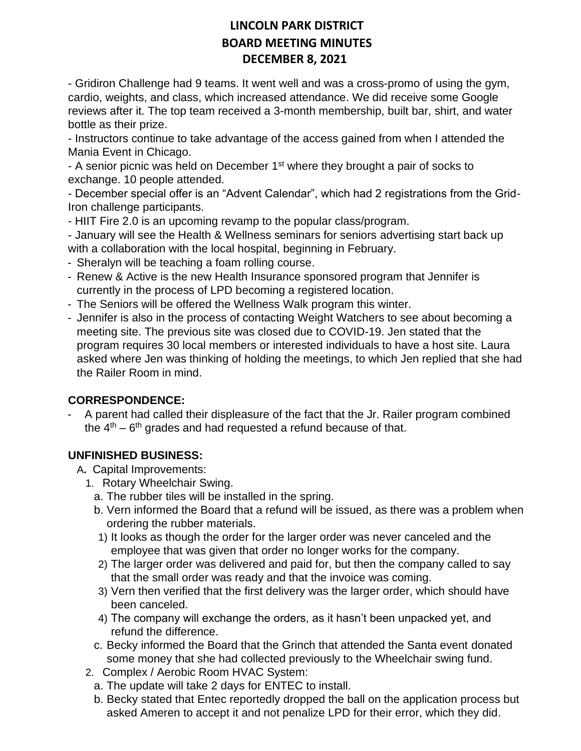- Gridiron Challenge had 9 teams. It went well and was a cross-promo of using the gym, cardio, weights, and class, which increased attendance. We did receive some Google reviews after it. The top team received a 3-month membership, built bar, shirt, and water bottle as their prize.

- Instructors continue to take advantage of the access gained from when I attended the Mania Event in Chicago.

- A senior picnic was held on December 1<sup>st</sup> where they brought a pair of socks to exchange. 10 people attended.

- December special offer is an "Advent Calendar", which had 2 registrations from the Grid-Iron challenge participants.

- HIIT Fire 2.0 is an upcoming revamp to the popular class/program.

- January will see the Health & Wellness seminars for seniors advertising start back up with a collaboration with the local hospital, beginning in February.

- Sheralyn will be teaching a foam rolling course.
- Renew & Active is the new Health Insurance sponsored program that Jennifer is currently in the process of LPD becoming a registered location.
- The Seniors will be offered the Wellness Walk program this winter.
- Jennifer is also in the process of contacting Weight Watchers to see about becoming a meeting site. The previous site was closed due to COVID-19. Jen stated that the program requires 30 local members or interested individuals to have a host site. Laura asked where Jen was thinking of holding the meetings, to which Jen replied that she had the Railer Room in mind.

### **CORRESPONDENCE:**

A parent had called their displeasure of the fact that the Jr. Railer program combined the  $4<sup>th</sup>$  – 6<sup>th</sup> grades and had requested a refund because of that.

### **UNFINISHED BUSINESS:**

A**.** Capital Improvements:

- 1. Rotary Wheelchair Swing.
	- a. The rubber tiles will be installed in the spring.
	- b. Vern informed the Board that a refund will be issued, as there was a problem when ordering the rubber materials.
	- 1) It looks as though the order for the larger order was never canceled and the employee that was given that order no longer works for the company.
	- 2) The larger order was delivered and paid for, but then the company called to say that the small order was ready and that the invoice was coming.
	- 3) Vern then verified that the first delivery was the larger order, which should have been canceled.
	- 4) The company will exchange the orders, as it hasn't been unpacked yet, and refund the difference.
	- c. Becky informed the Board that the Grinch that attended the Santa event donated some money that she had collected previously to the Wheelchair swing fund.
- 2. Complex / Aerobic Room HVAC System:
	- a. The update will take 2 days for ENTEC to install.
	- b. Becky stated that Entec reportedly dropped the ball on the application process but asked Ameren to accept it and not penalize LPD for their error, which they did.